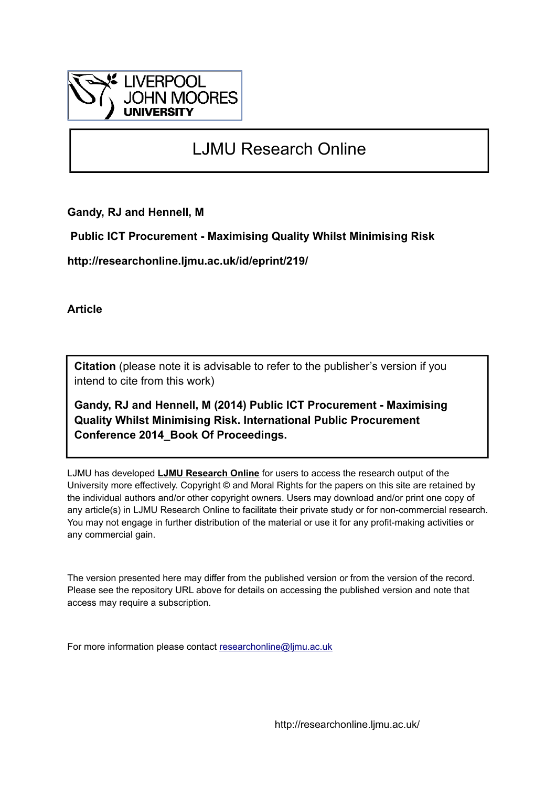

# LJMU Research Online

**Gandy, RJ and Hennell, M**

 **Public ICT Procurement - Maximising Quality Whilst Minimising Risk**

**http://researchonline.ljmu.ac.uk/id/eprint/219/**

**Article**

**Citation** (please note it is advisable to refer to the publisher's version if you intend to cite from this work)

**Gandy, RJ and Hennell, M (2014) Public ICT Procurement - Maximising Quality Whilst Minimising Risk. International Public Procurement Conference 2014\_Book Of Proceedings.** 

LJMU has developed **[LJMU Research Online](http://researchonline.ljmu.ac.uk/)** for users to access the research output of the University more effectively. Copyright © and Moral Rights for the papers on this site are retained by the individual authors and/or other copyright owners. Users may download and/or print one copy of any article(s) in LJMU Research Online to facilitate their private study or for non-commercial research. You may not engage in further distribution of the material or use it for any profit-making activities or any commercial gain.

The version presented here may differ from the published version or from the version of the record. Please see the repository URL above for details on accessing the published version and note that access may require a subscription.

For more information please contact [researchonline@ljmu.ac.uk](mailto:researchonline@ljmu.ac.uk)

http://researchonline.ljmu.ac.uk/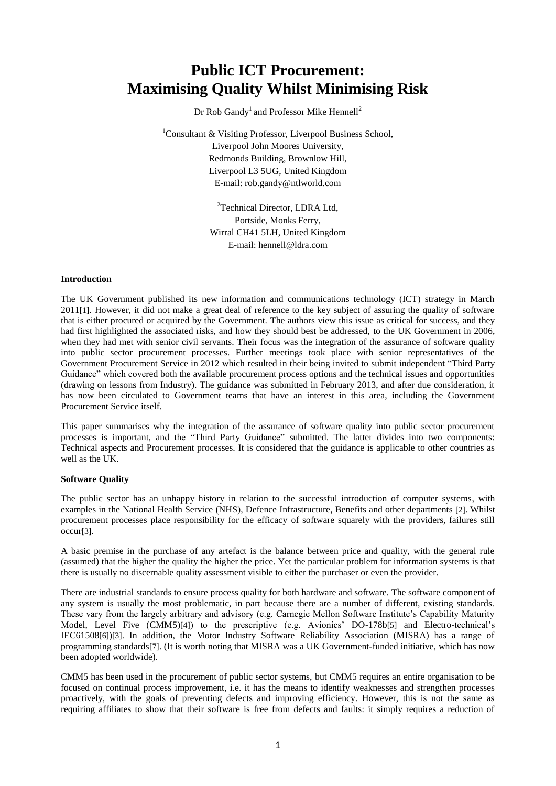# **Public ICT Procurement: Maximising Quality Whilst Minimising Risk**

Dr Rob Gandy<sup>1</sup> and Professor Mike Hennell<sup>2</sup>

<sup>1</sup>Consultant & Visiting Professor, Liverpool Business School, Liverpool John Moores University, Redmonds Building, Brownlow Hill, Liverpool L3 5UG, United Kingdom E-mail: [rob.gandy@ntlworld.com](mailto:rob.gandy@ntlworld.com)

> <sup>2</sup>Technical Director, LDRA Ltd. Portside, Monks Ferry, Wirral CH41 5LH, United Kingdom E-mail: [hennell@ldra.com](mailto:hennell@ldra.com)

# **Introduction**

The UK Government published its new information and communications technology (ICT) strategy in March 2011[1]. However, it did not make a great deal of reference to the key subject of assuring the quality of software that is either procured or acquired by the Government. The authors view this issue as critical for success, and they had first highlighted the associated risks, and how they should best be addressed, to the UK Government in 2006, when they had met with senior civil servants. Their focus was the integration of the assurance of software quality into public sector procurement processes. Further meetings took place with senior representatives of the Government Procurement Service in 2012 which resulted in their being invited to submit independent "Third Party Guidance" which covered both the available procurement process options and the technical issues and opportunities (drawing on lessons from Industry). The guidance was submitted in February 2013, and after due consideration, it has now been circulated to Government teams that have an interest in this area, including the Government Procurement Service itself.

This paper summarises why the integration of the assurance of software quality into public sector procurement processes is important, and the "Third Party Guidance" submitted. The latter divides into two components: Technical aspects and Procurement processes. It is considered that the guidance is applicable to other countries as well as the UK.

#### **Software Quality**

The public sector has an unhappy history in relation to the successful introduction of computer systems, with examples in the National Health Service (NHS), Defence Infrastructure, Benefits and other departments [2]. Whilst procurement processes place responsibility for the efficacy of software squarely with the providers, failures still occur[3].

A basic premise in the purchase of any artefact is the balance between price and quality, with the general rule (assumed) that the higher the quality the higher the price. Yet the particular problem for information systems is that there is usually no discernable quality assessment visible to either the purchaser or even the provider.

There are industrial standards to ensure process quality for both hardware and software. The software component of any system is usually the most problematic, in part because there are a number of different, existing standards. These vary from the largely arbitrary and advisory (e.g. Carnegie Mellon Software Institute's Capability Maturity Model, Level Five (CMM5)[4]) to the prescriptive (e.g. Avionics' DO-178b[5] and Electro-technical's IEC61508[6])[3]. In addition, the Motor Industry Software Reliability Association (MISRA) has a range of programming standards[7]. (It is worth noting that MISRA was a UK Government-funded initiative, which has now been adopted worldwide).

CMM5 has been used in the procurement of public sector systems, but CMM5 requires an entire organisation to be focused on continual process improvement, i.e. it has the means to identify weaknesses and strengthen processes proactively, with the goals of preventing defects and improving efficiency. However, this is not the same as requiring affiliates to show that their software is free from defects and faults: it simply requires a reduction of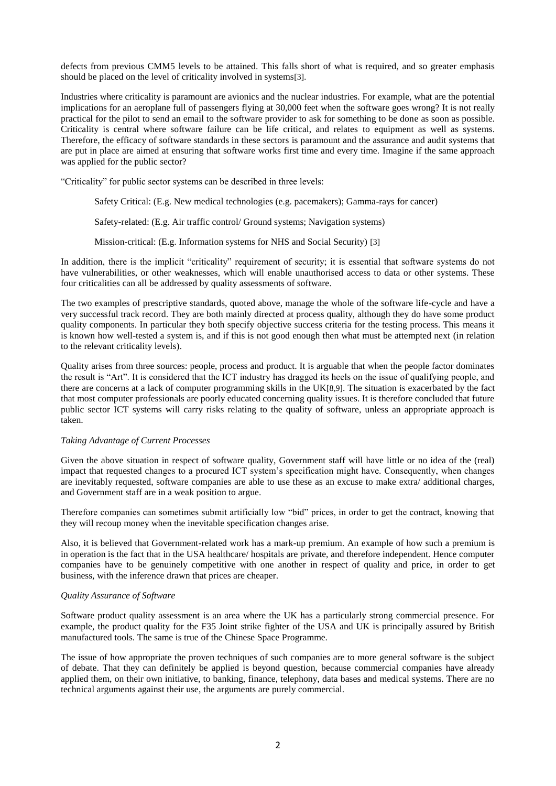defects from previous CMM5 levels to be attained. This falls short of what is required, and so greater emphasis should be placed on the level of criticality involved in systems[3].

Industries where criticality is paramount are avionics and the nuclear industries. For example, what are the potential implications for an aeroplane full of passengers flying at 30,000 feet when the software goes wrong? It is not really practical for the pilot to send an email to the software provider to ask for something to be done as soon as possible. Criticality is central where software failure can be life critical, and relates to equipment as well as systems. Therefore, the efficacy of software standards in these sectors is paramount and the assurance and audit systems that are put in place are aimed at ensuring that software works first time and every time. Imagine if the same approach was applied for the public sector?

"Criticality" for public sector systems can be described in three levels:

Safety Critical: (E.g. New medical technologies (e.g. pacemakers); Gamma-rays for cancer)

Safety-related: (E.g. Air traffic control/ Ground systems; Navigation systems)

Mission-critical: (E.g. Information systems for NHS and Social Security) [3]

In addition, there is the implicit "criticality" requirement of security; it is essential that software systems do not have vulnerabilities, or other weaknesses, which will enable unauthorised access to data or other systems. These four criticalities can all be addressed by quality assessments of software.

The two examples of prescriptive standards, quoted above, manage the whole of the software life-cycle and have a very successful track record. They are both mainly directed at process quality, although they do have some product quality components. In particular they both specify objective success criteria for the testing process. This means it is known how well-tested a system is, and if this is not good enough then what must be attempted next (in relation to the relevant criticality levels).

Quality arises from three sources: people, process and product. It is arguable that when the people factor dominates the result is "Art". It is considered that the ICT industry has dragged its heels on the issue of qualifying people, and there are concerns at a lack of computer programming skills in the UK[8,9]. The situation is exacerbated by the fact that most computer professionals are poorly educated concerning quality issues. It is therefore concluded that future public sector ICT systems will carry risks relating to the quality of software, unless an appropriate approach is taken.

#### *Taking Advantage of Current Processes*

Given the above situation in respect of software quality, Government staff will have little or no idea of the (real) impact that requested changes to a procured ICT system's specification might have. Consequently, when changes are inevitably requested, software companies are able to use these as an excuse to make extra/ additional charges, and Government staff are in a weak position to argue.

Therefore companies can sometimes submit artificially low "bid" prices, in order to get the contract, knowing that they will recoup money when the inevitable specification changes arise.

Also, it is believed that Government-related work has a mark-up premium. An example of how such a premium is in operation is the fact that in the USA healthcare/ hospitals are private, and therefore independent. Hence computer companies have to be genuinely competitive with one another in respect of quality and price, in order to get business, with the inference drawn that prices are cheaper.

#### *Quality Assurance of Software*

Software product quality assessment is an area where the UK has a particularly strong commercial presence. For example, the product quality for the F35 Joint strike fighter of the USA and UK is principally assured by British manufactured tools. The same is true of the Chinese Space Programme.

The issue of how appropriate the proven techniques of such companies are to more general software is the subject of debate. That they can definitely be applied is beyond question, because commercial companies have already applied them, on their own initiative, to banking, finance, telephony, data bases and medical systems. There are no technical arguments against their use, the arguments are purely commercial.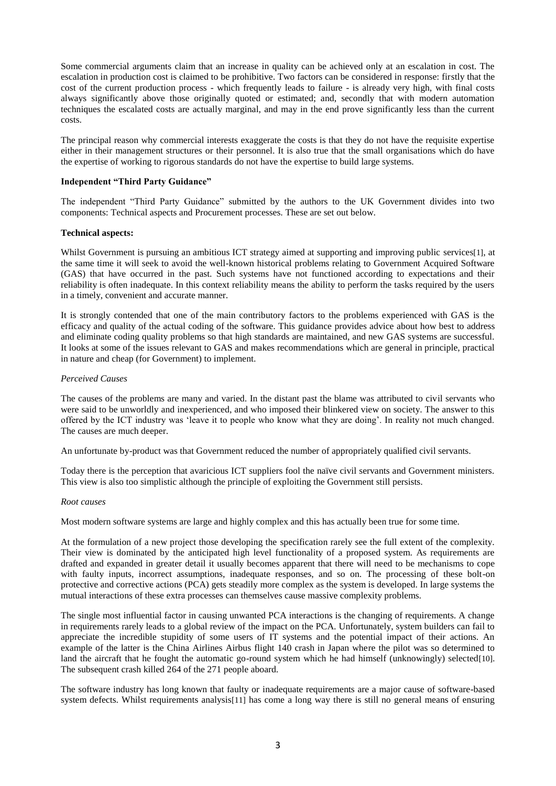Some commercial arguments claim that an increase in quality can be achieved only at an escalation in cost. The escalation in production cost is claimed to be prohibitive. Two factors can be considered in response: firstly that the cost of the current production process - which frequently leads to failure - is already very high, with final costs always significantly above those originally quoted or estimated; and, secondly that with modern automation techniques the escalated costs are actually marginal, and may in the end prove significantly less than the current costs.

The principal reason why commercial interests exaggerate the costs is that they do not have the requisite expertise either in their management structures or their personnel. It is also true that the small organisations which do have the expertise of working to rigorous standards do not have the expertise to build large systems.

# **Independent "Third Party Guidance"**

The independent "Third Party Guidance" submitted by the authors to the UK Government divides into two components: Technical aspects and Procurement processes. These are set out below.

#### **Technical aspects:**

Whilst Government is pursuing an ambitious ICT strategy aimed at supporting and improving public services[1], at the same time it will seek to avoid the well-known historical problems relating to Government Acquired Software (GAS) that have occurred in the past. Such systems have not functioned according to expectations and their reliability is often inadequate. In this context reliability means the ability to perform the tasks required by the users in a timely, convenient and accurate manner.

It is strongly contended that one of the main contributory factors to the problems experienced with GAS is the efficacy and quality of the actual coding of the software. This guidance provides advice about how best to address and eliminate coding quality problems so that high standards are maintained, and new GAS systems are successful. It looks at some of the issues relevant to GAS and makes recommendations which are general in principle, practical in nature and cheap (for Government) to implement.

# *Perceived Causes*

The causes of the problems are many and varied. In the distant past the blame was attributed to civil servants who were said to be unworldly and inexperienced, and who imposed their blinkered view on society. The answer to this offered by the ICT industry was 'leave it to people who know what they are doing'. In reality not much changed. The causes are much deeper.

An unfortunate by-product was that Government reduced the number of appropriately qualified civil servants.

Today there is the perception that avaricious ICT suppliers fool the naïve civil servants and Government ministers. This view is also too simplistic although the principle of exploiting the Government still persists.

#### *Root causes*

Most modern software systems are large and highly complex and this has actually been true for some time.

At the formulation of a new project those developing the specification rarely see the full extent of the complexity. Their view is dominated by the anticipated high level functionality of a proposed system. As requirements are drafted and expanded in greater detail it usually becomes apparent that there will need to be mechanisms to cope with faulty inputs, incorrect assumptions, inadequate responses, and so on. The processing of these bolt-on protective and corrective actions (PCA) gets steadily more complex as the system is developed. In large systems the mutual interactions of these extra processes can themselves cause massive complexity problems.

The single most influential factor in causing unwanted PCA interactions is the changing of requirements. A change in requirements rarely leads to a global review of the impact on the PCA. Unfortunately, system builders can fail to appreciate the incredible stupidity of some users of IT systems and the potential impact of their actions. An example of the latter is the China Airlines Airbus flight 140 crash in Japan where the pilot was so determined to land the aircraft that he fought the automatic go-round system which he had himself (unknowingly) selected[10]. The subsequent crash killed 264 of the 271 people aboard.

The software industry has long known that faulty or inadequate requirements are a major cause of software-based system defects. Whilst requirements analysis[11] has come a long way there is still no general means of ensuring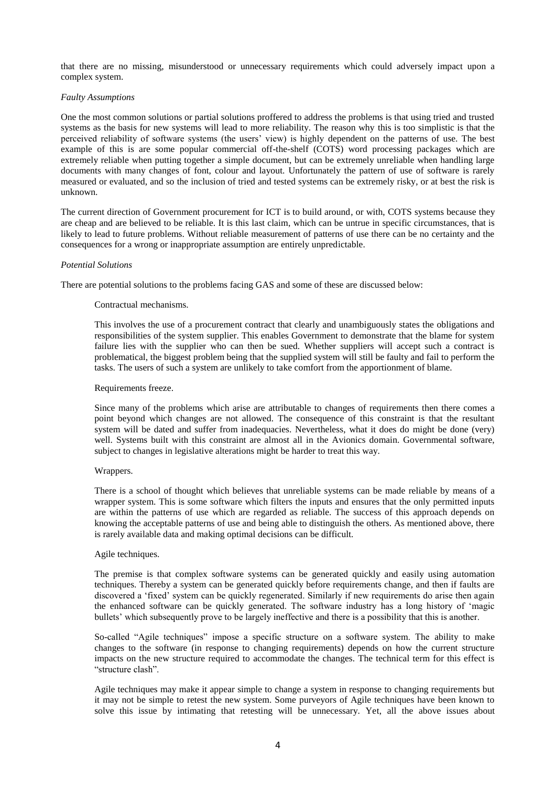that there are no missing, misunderstood or unnecessary requirements which could adversely impact upon a complex system.

#### *Faulty Assumptions*

One the most common solutions or partial solutions proffered to address the problems is that using tried and trusted systems as the basis for new systems will lead to more reliability. The reason why this is too simplistic is that the perceived reliability of software systems (the users' view) is highly dependent on the patterns of use. The best example of this is are some popular commercial off-the-shelf (COTS) word processing packages which are extremely reliable when putting together a simple document, but can be extremely unreliable when handling large documents with many changes of font, colour and layout. Unfortunately the pattern of use of software is rarely measured or evaluated, and so the inclusion of tried and tested systems can be extremely risky, or at best the risk is unknown.

The current direction of Government procurement for ICT is to build around, or with, COTS systems because they are cheap and are believed to be reliable. It is this last claim, which can be untrue in specific circumstances, that is likely to lead to future problems. Without reliable measurement of patterns of use there can be no certainty and the consequences for a wrong or inappropriate assumption are entirely unpredictable.

# *Potential Solutions*

There are potential solutions to the problems facing GAS and some of these are discussed below:

# Contractual mechanisms.

This involves the use of a procurement contract that clearly and unambiguously states the obligations and responsibilities of the system supplier. This enables Government to demonstrate that the blame for system failure lies with the supplier who can then be sued. Whether suppliers will accept such a contract is problematical, the biggest problem being that the supplied system will still be faulty and fail to perform the tasks. The users of such a system are unlikely to take comfort from the apportionment of blame.

# Requirements freeze.

Since many of the problems which arise are attributable to changes of requirements then there comes a point beyond which changes are not allowed. The consequence of this constraint is that the resultant system will be dated and suffer from inadequacies. Nevertheless, what it does do might be done (very) well. Systems built with this constraint are almost all in the Avionics domain. Governmental software, subject to changes in legislative alterations might be harder to treat this way.

#### Wrappers.

There is a school of thought which believes that unreliable systems can be made reliable by means of a wrapper system. This is some software which filters the inputs and ensures that the only permitted inputs are within the patterns of use which are regarded as reliable. The success of this approach depends on knowing the acceptable patterns of use and being able to distinguish the others. As mentioned above, there is rarely available data and making optimal decisions can be difficult.

#### Agile techniques.

The premise is that complex software systems can be generated quickly and easily using automation techniques. Thereby a system can be generated quickly before requirements change, and then if faults are discovered a 'fixed' system can be quickly regenerated. Similarly if new requirements do arise then again the enhanced software can be quickly generated. The software industry has a long history of 'magic bullets' which subsequently prove to be largely ineffective and there is a possibility that this is another.

So-called "Agile techniques" impose a specific structure on a software system. The ability to make changes to the software (in response to changing requirements) depends on how the current structure impacts on the new structure required to accommodate the changes. The technical term for this effect is "structure clash".

Agile techniques may make it appear simple to change a system in response to changing requirements but it may not be simple to retest the new system. Some purveyors of Agile techniques have been known to solve this issue by intimating that retesting will be unnecessary. Yet, all the above issues about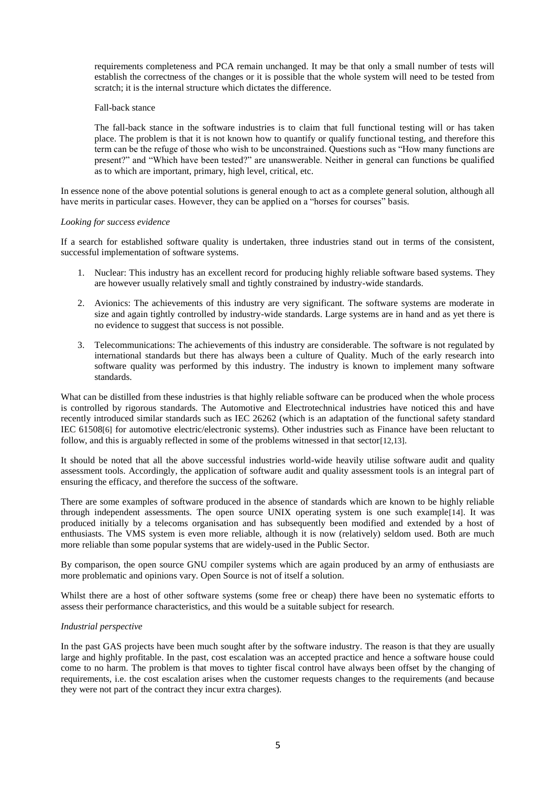requirements completeness and PCA remain unchanged. It may be that only a small number of tests will establish the correctness of the changes or it is possible that the whole system will need to be tested from scratch; it is the internal structure which dictates the difference.

#### Fall-back stance

The fall-back stance in the software industries is to claim that full functional testing will or has taken place. The problem is that it is not known how to quantify or qualify functional testing, and therefore this term can be the refuge of those who wish to be unconstrained. Questions such as "How many functions are present?" and "Which have been tested?" are unanswerable. Neither in general can functions be qualified as to which are important, primary, high level, critical, etc.

In essence none of the above potential solutions is general enough to act as a complete general solution, although all have merits in particular cases. However, they can be applied on a "horses for courses" basis.

# *Looking for success evidence*

If a search for established software quality is undertaken, three industries stand out in terms of the consistent, successful implementation of software systems.

- 1. Nuclear: This industry has an excellent record for producing highly reliable software based systems. They are however usually relatively small and tightly constrained by industry-wide standards.
- 2. Avionics: The achievements of this industry are very significant. The software systems are moderate in size and again tightly controlled by industry-wide standards. Large systems are in hand and as yet there is no evidence to suggest that success is not possible.
- 3. Telecommunications: The achievements of this industry are considerable. The software is not regulated by international standards but there has always been a culture of Quality. Much of the early research into software quality was performed by this industry. The industry is known to implement many software standards.

What can be distilled from these industries is that highly reliable software can be produced when the whole process is controlled by rigorous standards. The Automotive and Electrotechnical industries have noticed this and have recently introduced similar standards such as IEC 26262 (which is an adaptation of the functional safety standard IEC 61508[6] for automotive electric/electronic systems). Other industries such as Finance have been reluctant to follow, and this is arguably reflected in some of the problems witnessed in that sector[12,13].

It should be noted that all the above successful industries world-wide heavily utilise software audit and quality assessment tools. Accordingly, the application of software audit and quality assessment tools is an integral part of ensuring the efficacy, and therefore the success of the software.

There are some examples of software produced in the absence of standards which are known to be highly reliable through independent assessments. The open source UNIX operating system is one such example[14]. It was produced initially by a telecoms organisation and has subsequently been modified and extended by a host of enthusiasts. The VMS system is even more reliable, although it is now (relatively) seldom used. Both are much more reliable than some popular systems that are widely-used in the Public Sector.

By comparison, the open source GNU compiler systems which are again produced by an army of enthusiasts are more problematic and opinions vary. Open Source is not of itself a solution.

Whilst there are a host of other software systems (some free or cheap) there have been no systematic efforts to assess their performance characteristics, and this would be a suitable subject for research.

#### *Industrial perspective*

In the past GAS projects have been much sought after by the software industry. The reason is that they are usually large and highly profitable. In the past, cost escalation was an accepted practice and hence a software house could come to no harm. The problem is that moves to tighter fiscal control have always been offset by the changing of requirements, i.e. the cost escalation arises when the customer requests changes to the requirements (and because they were not part of the contract they incur extra charges).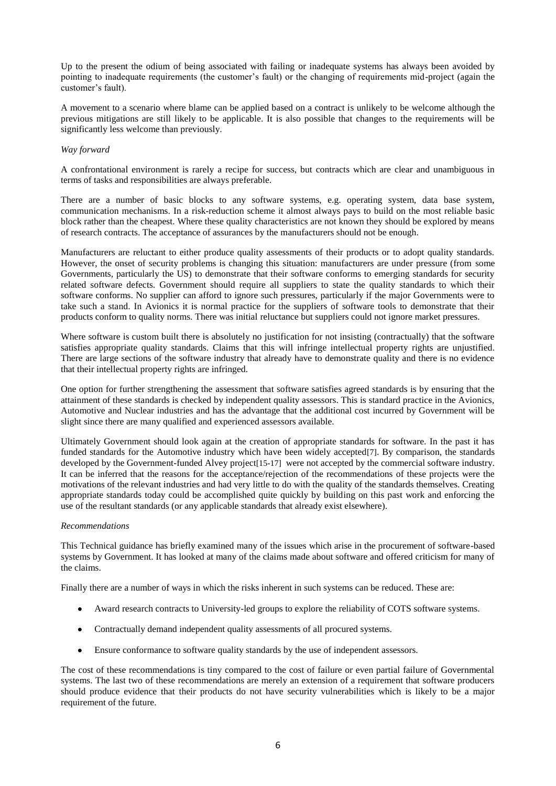Up to the present the odium of being associated with failing or inadequate systems has always been avoided by pointing to inadequate requirements (the customer's fault) or the changing of requirements mid-project (again the customer's fault).

A movement to a scenario where blame can be applied based on a contract is unlikely to be welcome although the previous mitigations are still likely to be applicable. It is also possible that changes to the requirements will be significantly less welcome than previously.

# *Way forward*

A confrontational environment is rarely a recipe for success, but contracts which are clear and unambiguous in terms of tasks and responsibilities are always preferable.

There are a number of basic blocks to any software systems, e.g. operating system, data base system, communication mechanisms. In a risk-reduction scheme it almost always pays to build on the most reliable basic block rather than the cheapest. Where these quality characteristics are not known they should be explored by means of research contracts. The acceptance of assurances by the manufacturers should not be enough.

Manufacturers are reluctant to either produce quality assessments of their products or to adopt quality standards. However, the onset of security problems is changing this situation: manufacturers are under pressure (from some Governments, particularly the US) to demonstrate that their software conforms to emerging standards for security related software defects. Government should require all suppliers to state the quality standards to which their software conforms. No supplier can afford to ignore such pressures, particularly if the major Governments were to take such a stand. In Avionics it is normal practice for the suppliers of software tools to demonstrate that their products conform to quality norms. There was initial reluctance but suppliers could not ignore market pressures.

Where software is custom built there is absolutely no justification for not insisting (contractually) that the software satisfies appropriate quality standards. Claims that this will infringe intellectual property rights are unjustified. There are large sections of the software industry that already have to demonstrate quality and there is no evidence that their intellectual property rights are infringed.

One option for further strengthening the assessment that software satisfies agreed standards is by ensuring that the attainment of these standards is checked by independent quality assessors. This is standard practice in the Avionics, Automotive and Nuclear industries and has the advantage that the additional cost incurred by Government will be slight since there are many qualified and experienced assessors available.

Ultimately Government should look again at the creation of appropriate standards for software. In the past it has funded standards for the Automotive industry which have been widely accepted[7]. By comparison, the standards developed by the Government-funded Alvey project[15-17] were not accepted by the commercial software industry. It can be inferred that the reasons for the acceptance/rejection of the recommendations of these projects were the motivations of the relevant industries and had very little to do with the quality of the standards themselves. Creating appropriate standards today could be accomplished quite quickly by building on this past work and enforcing the use of the resultant standards (or any applicable standards that already exist elsewhere).

#### *Recommendations*

This Technical guidance has briefly examined many of the issues which arise in the procurement of software-based systems by Government. It has looked at many of the claims made about software and offered criticism for many of the claims.

Finally there are a number of ways in which the risks inherent in such systems can be reduced. These are:

- Award research contracts to University-led groups to explore the reliability of COTS software systems.  $\bullet$
- Contractually demand independent quality assessments of all procured systems.  $\bullet$
- Ensure conformance to software quality standards by the use of independent assessors.  $\bullet$

The cost of these recommendations is tiny compared to the cost of failure or even partial failure of Governmental systems. The last two of these recommendations are merely an extension of a requirement that software producers should produce evidence that their products do not have security vulnerabilities which is likely to be a major requirement of the future.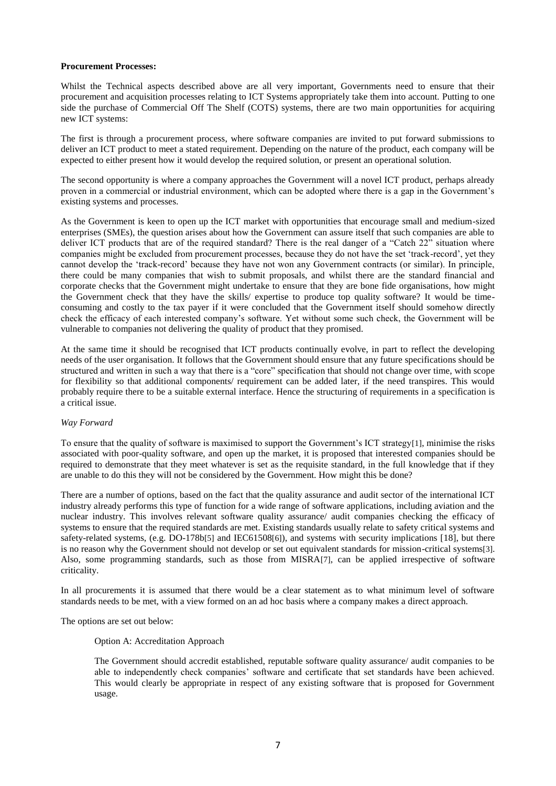# **Procurement Processes:**

Whilst the Technical aspects described above are all very important, Governments need to ensure that their procurement and acquisition processes relating to ICT Systems appropriately take them into account. Putting to one side the purchase of Commercial Off The Shelf (COTS) systems, there are two main opportunities for acquiring new ICT systems:

The first is through a procurement process, where software companies are invited to put forward submissions to deliver an ICT product to meet a stated requirement. Depending on the nature of the product, each company will be expected to either present how it would develop the required solution, or present an operational solution.

The second opportunity is where a company approaches the Government will a novel ICT product, perhaps already proven in a commercial or industrial environment, which can be adopted where there is a gap in the Government's existing systems and processes.

As the Government is keen to open up the ICT market with opportunities that encourage small and medium-sized enterprises (SMEs), the question arises about how the Government can assure itself that such companies are able to deliver ICT products that are of the required standard? There is the real danger of a "Catch  $22<sup>7</sup>$  situation where companies might be excluded from procurement processes, because they do not have the set 'track-record', yet they cannot develop the 'track-record' because they have not won any Government contracts (or similar). In principle, there could be many companies that wish to submit proposals, and whilst there are the standard financial and corporate checks that the Government might undertake to ensure that they are bone fide organisations, how might the Government check that they have the skills/ expertise to produce top quality software? It would be timeconsuming and costly to the tax payer if it were concluded that the Government itself should somehow directly check the efficacy of each interested company's software. Yet without some such check, the Government will be vulnerable to companies not delivering the quality of product that they promised.

At the same time it should be recognised that ICT products continually evolve, in part to reflect the developing needs of the user organisation. It follows that the Government should ensure that any future specifications should be structured and written in such a way that there is a "core" specification that should not change over time, with scope for flexibility so that additional components/ requirement can be added later, if the need transpires. This would probably require there to be a suitable external interface. Hence the structuring of requirements in a specification is a critical issue.

# *Way Forward*

To ensure that the quality of software is maximised to support the Government's ICT strategy[1], minimise the risks associated with poor-quality software, and open up the market, it is proposed that interested companies should be required to demonstrate that they meet whatever is set as the requisite standard, in the full knowledge that if they are unable to do this they will not be considered by the Government. How might this be done?

There are a number of options, based on the fact that the quality assurance and audit sector of the international ICT industry already performs this type of function for a wide range of software applications, including aviation and the nuclear industry. This involves relevant software quality assurance/ audit companies checking the efficacy of systems to ensure that the required standards are met. Existing standards usually relate to safety critical systems and safety-related systems, (e.g. DO-178b[5] and IEC61508[6]), and systems with security implications [18], but there is no reason why the Government should not develop or set out equivalent standards for mission-critical systems[3]. Also, some programming standards, such as those from MISRA[7], can be applied irrespective of software criticality.

In all procurements it is assumed that there would be a clear statement as to what minimum level of software standards needs to be met, with a view formed on an ad hoc basis where a company makes a direct approach.

The options are set out below:

#### Option A: Accreditation Approach

The Government should accredit established, reputable software quality assurance/ audit companies to be able to independently check companies' software and certificate that set standards have been achieved. This would clearly be appropriate in respect of any existing software that is proposed for Government usage.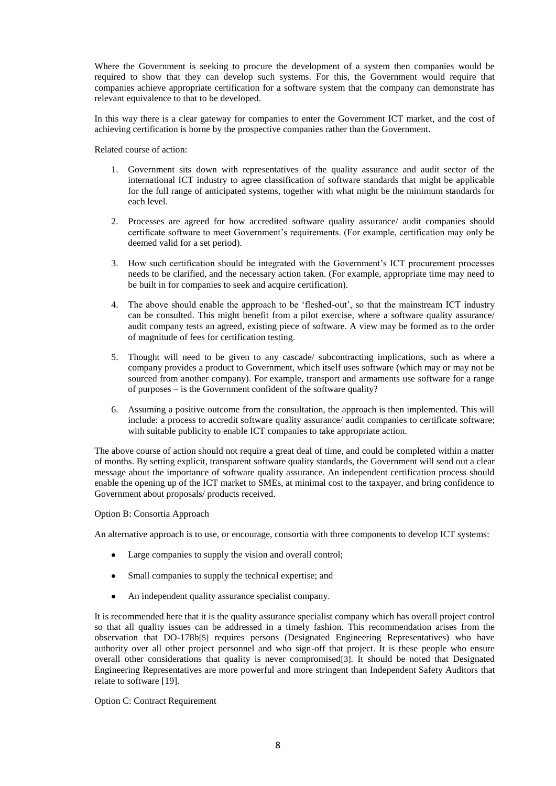Where the Government is seeking to procure the development of a system then companies would be required to show that they can develop such systems. For this, the Government would require that companies achieve appropriate certification for a software system that the company can demonstrate has relevant equivalence to that to be developed.

In this way there is a clear gateway for companies to enter the Government ICT market, and the cost of achieving certification is borne by the prospective companies rather than the Government.

Related course of action:

- 1. Government sits down with representatives of the quality assurance and audit sector of the international ICT industry to agree classification of software standards that might be applicable for the full range of anticipated systems, together with what might be the minimum standards for each level.
- 2. Processes are agreed for how accredited software quality assurance/ audit companies should certificate software to meet Government's requirements. (For example, certification may only be deemed valid for a set period).
- 3. How such certification should be integrated with the Government's ICT procurement processes needs to be clarified, and the necessary action taken. (For example, appropriate time may need to be built in for companies to seek and acquire certification).
- 4. The above should enable the approach to be 'fleshed-out', so that the mainstream ICT industry can be consulted. This might benefit from a pilot exercise, where a software quality assurance/ audit company tests an agreed, existing piece of software. A view may be formed as to the order of magnitude of fees for certification testing.
- 5. Thought will need to be given to any cascade/ subcontracting implications, such as where a company provides a product to Government, which itself uses software (which may or may not be sourced from another company). For example, transport and armaments use software for a range of purposes – is the Government confident of the software quality?
- 6. Assuming a positive outcome from the consultation, the approach is then implemented. This will include: a process to accredit software quality assurance/ audit companies to certificate software; with suitable publicity to enable ICT companies to take appropriate action.

The above course of action should not require a great deal of time, and could be completed within a matter of months. By setting explicit, transparent software quality standards, the Government will send out a clear message about the importance of software quality assurance. An independent certification process should enable the opening up of the ICT market to SMEs, at minimal cost to the taxpayer, and bring confidence to Government about proposals/ products received.

# Option B: Consortia Approach

An alternative approach is to use, or encourage, consortia with three components to develop ICT systems:

- Large companies to supply the vision and overall control;
- $\bullet$ Small companies to supply the technical expertise; and
- An independent quality assurance specialist company.  $\bullet$

It is recommended here that it is the quality assurance specialist company which has overall project control so that all quality issues can be addressed in a timely fashion. This recommendation arises from the observation that DO-178b[5] requires persons (Designated Engineering Representatives) who have authority over all other project personnel and who sign-off that project. It is these people who ensure overall other considerations that quality is never compromised[3]. It should be noted that Designated Engineering Representatives are more powerful and more stringent than Independent Safety Auditors that relate to software [19].

# Option C: Contract Requirement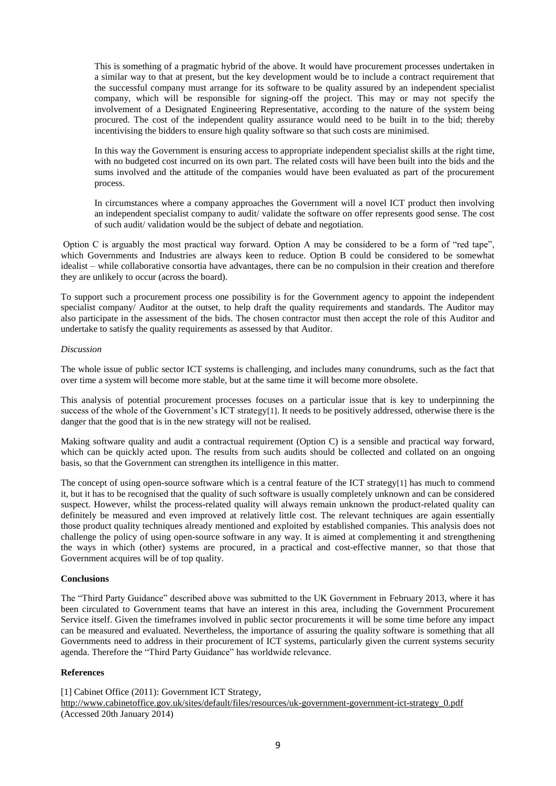This is something of a pragmatic hybrid of the above. It would have procurement processes undertaken in a similar way to that at present, but the key development would be to include a contract requirement that the successful company must arrange for its software to be quality assured by an independent specialist company, which will be responsible for signing-off the project. This may or may not specify the involvement of a Designated Engineering Representative, according to the nature of the system being procured. The cost of the independent quality assurance would need to be built in to the bid; thereby incentivising the bidders to ensure high quality software so that such costs are minimised.

In this way the Government is ensuring access to appropriate independent specialist skills at the right time, with no budgeted cost incurred on its own part. The related costs will have been built into the bids and the sums involved and the attitude of the companies would have been evaluated as part of the procurement process.

In circumstances where a company approaches the Government will a novel ICT product then involving an independent specialist company to audit/ validate the software on offer represents good sense. The cost of such audit/ validation would be the subject of debate and negotiation.

Option C is arguably the most practical way forward. Option A may be considered to be a form of "red tape", which Governments and Industries are always keen to reduce. Option B could be considered to be somewhat idealist – while collaborative consortia have advantages, there can be no compulsion in their creation and therefore they are unlikely to occur (across the board).

To support such a procurement process one possibility is for the Government agency to appoint the independent specialist company/ Auditor at the outset, to help draft the quality requirements and standards. The Auditor may also participate in the assessment of the bids. The chosen contractor must then accept the role of this Auditor and undertake to satisfy the quality requirements as assessed by that Auditor.

# *Discussion*

The whole issue of public sector ICT systems is challenging, and includes many conundrums, such as the fact that over time a system will become more stable, but at the same time it will become more obsolete.

This analysis of potential procurement processes focuses on a particular issue that is key to underpinning the success of the whole of the Government's ICT strategy[1]. It needs to be positively addressed, otherwise there is the danger that the good that is in the new strategy will not be realised.

Making software quality and audit a contractual requirement (Option C) is a sensible and practical way forward, which can be quickly acted upon. The results from such audits should be collected and collated on an ongoing basis, so that the Government can strengthen its intelligence in this matter.

The concept of using open-source software which is a central feature of the ICT strategy[1] has much to commend it, but it has to be recognised that the quality of such software is usually completely unknown and can be considered suspect. However, whilst the process-related quality will always remain unknown the product-related quality can definitely be measured and even improved at relatively little cost. The relevant techniques are again essentially those product quality techniques already mentioned and exploited by established companies. This analysis does not challenge the policy of using open-source software in any way. It is aimed at complementing it and strengthening the ways in which (other) systems are procured, in a practical and cost-effective manner, so that those that Government acquires will be of top quality.

# **Conclusions**

The "Third Party Guidance" described above was submitted to the UK Government in February 2013, where it has been circulated to Government teams that have an interest in this area, including the Government Procurement Service itself. Given the timeframes involved in public sector procurements it will be some time before any impact can be measured and evaluated. Nevertheless, the importance of assuring the quality software is something that all Governments need to address in their procurement of ICT systems, particularly given the current systems security agenda. Therefore the "Third Party Guidance" has worldwide relevance.

# **References**

[1] Cabinet Office (2011): Government ICT Strategy, [http://www.cabinetoffice.gov.uk/sites/default/files/resources/uk-government-government-ict-strategy\\_0.pdf](http://www.cabinetoffice.gov.uk/sites/default/files/resources/uk-government-government-ict-strategy_0.pdf) (Accessed 20th January 2014)